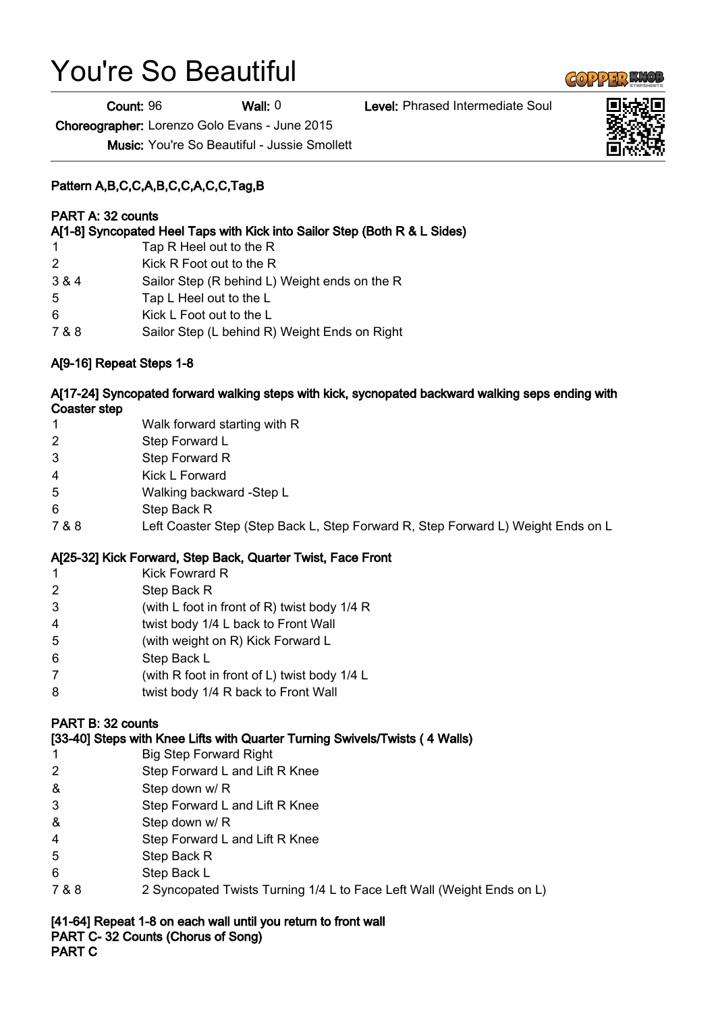# You're So Beautiful

Count: 96 Wall: 0 Level: Phrased Intermediate Soul

Choreographer: Lorenzo Golo Evans - June 2015

Music: You're So Beautiful - Jussie Smollett

# Pattern A,B,C,C,A,B,C,C,A,C,C,Tag,B

# PART A: 32 counts

A[1-8] Syncopated Heel Taps with Kick into Sailor Step (Both R & L Sides)

- 1 Tap R Heel out to the R
- 2 Kick R Foot out to the R
- 3 & 4 Sailor Step (R behind L) Weight ends on the R
- 5 Tap L Heel out to the L
- 6 Kick L Foot out to the L
- 7 & 8 Sailor Step (L behind R) Weight Ends on Right

# A[9-16] Repeat Steps 1-8

### A[17-24] Syncopated forward walking steps with kick, sycnopated backward walking seps ending with Coaster step

- 1 Walk forward starting with R
- 2 Step Forward L
- 3 Step Forward R
- 4 Kick L Forward
- 5 Walking backward -Step L
- 6 Step Back R
- 7 & 8 Left Coaster Step (Step Back L, Step Forward R, Step Forward L) Weight Ends on L

## A[25-32] Kick Forward, Step Back, Quarter Twist, Face Front

- 1 Kick Fowrard R
- 2 Step Back R
- 3 (with L foot in front of R) twist body 1/4 R
- 4 twist body 1/4 L back to Front Wall
- 5 (with weight on R) Kick Forward L
- 6 Step Back L
- 7 (with R foot in front of L) twist body 1/4 L
- 8 twist body 1/4 R back to Front Wall

#### PART B: 32 counts

[33-40] Steps with Knee Lifts with Quarter Turning Swivels/Twists ( 4 Walls)

- 1 Big Step Forward Right
- 2 Step Forward L and Lift R Knee
- & Step down w/ R
- 3 Step Forward L and Lift R Knee
- & Step down w/ R
- 4 Step Forward L and Lift R Knee
- 5 Step Back R
- 6 Step Back L
- 7 & 8 2 Syncopated Twists Turning 1/4 L to Face Left Wall (Weight Ends on L)

[41-64] Repeat 1-8 on each wall until you return to front wall PART C- 32 Counts (Chorus of Song) PART C